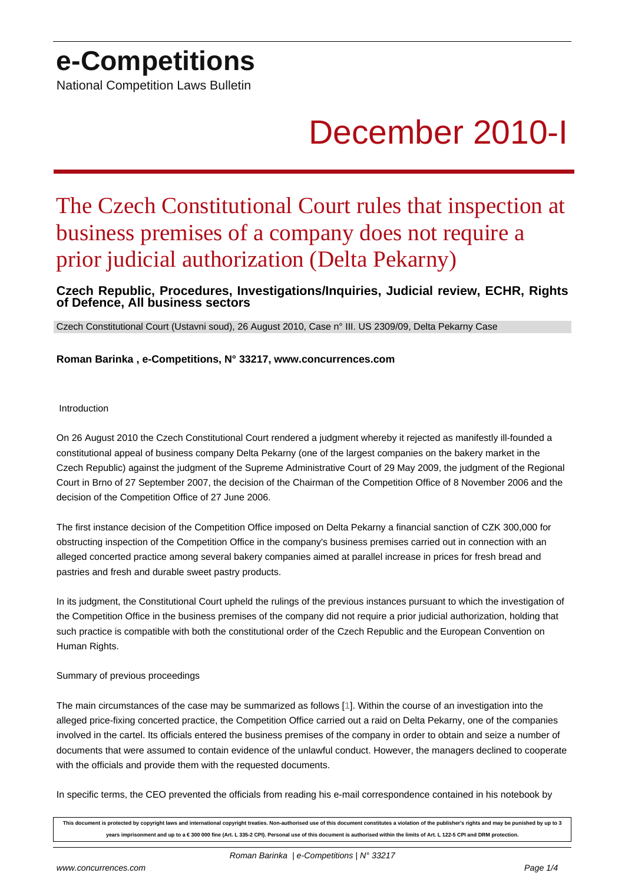## **e-Competitions**

National Competition Laws Bulletin

# December 2010-I

## The Czech Constitutional Court rules that inspection at business premises of a company does not require a prior judicial authorization (Delta Pekarny)

### **Czech Republic, Procedures, Investigations/Inquiries, Judicial review, ECHR, Rights of Defence, All business sectors**

Czech Constitutional Court (Ustavni soud), 26 August 2010, Case n° III. US 2309/09, Delta Pekarny Case

**Roman Barinka , e-Competitions, N° 33217, www.concurrences.com**

Introduction

On 26 August 2010 the Czech Constitutional Court rendered a judgment whereby it rejected as manifestly ill-founded a constitutional appeal of business company Delta Pekarny (one of the largest companies on the bakery market in the Czech Republic) against the judgment of the Supreme Administrative Court of 29 May 2009, the judgment of the Regional Court in Brno of 27 September 2007, the decision of the Chairman of the Competition Office of 8 November 2006 and the decision of the Competition Office of 27 June 2006.

The first instance decision of the Competition Office imposed on Delta Pekarny a financial sanction of CZK 300,000 for obstructing inspection of the Competition Office in the company's business premises carried out in connection with an alleged concerted practice among several bakery companies aimed at parallel increase in prices for fresh bread and pastries and fresh and durable sweet pastry products.

In its judgment, the Constitutional Court upheld the rulings of the previous instances pursuant to which the investigation of the Competition Office in the business premises of the company did not require a prior judicial authorization, holding that such practice is compatible with both the constitutional order of the Czech Republic and the European Convention on Human Rights.

#### Summary of previous proceedings

The main circumstances of the case may be summarized as follows [1]. Within the course of an investigation into the alleged price-fixing concerted practice, the Competition Office carried out a raid on Delta Pekarny, one of the companies involved in the cartel. Its officials entered the business premises of the company in order to obtain and seize a number of documents that were assumed to contain evidence of the unlawful c[on](#nb1)duct. However, the managers declined to cooperate with the officials and provide them with the requested documents.

In specific terms, the CEO prevented the officials from reading his e-mail correspondence contained in his notebook by

**This document is protected by copyright laws and international copyright treaties. Non-authorised use of this document constitutes a violation of the publisher's rights and may be punished by up to 3 years imprisonment and up to a € 300 000 fine (Art. L 335-2 CPI). Personal use of this document is authorised within the limits of Art. L 122-5 CPI and DRM protection.**

www.concurrences.com **Page 1/4** 

Roman Barinka | e-Competitions | N° 33217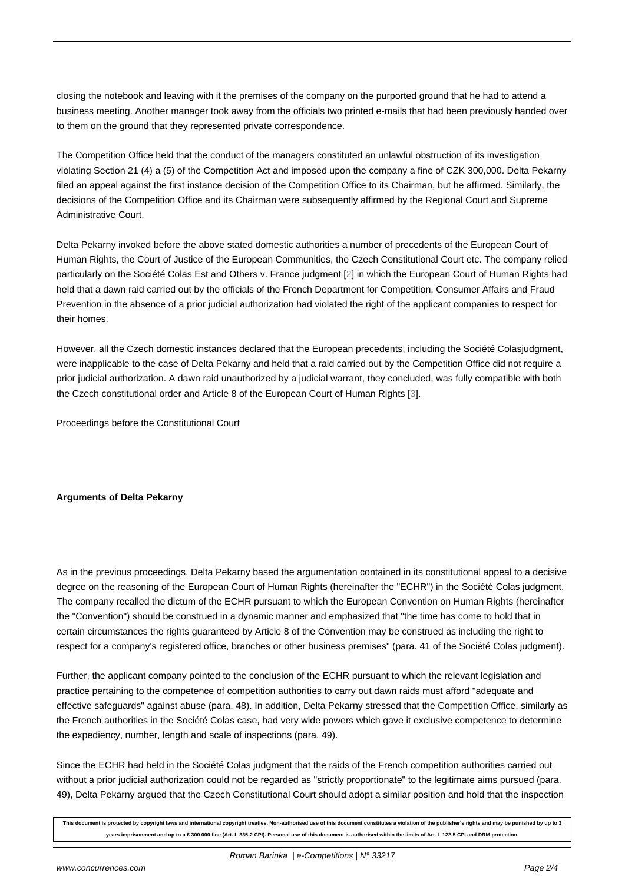closing the notebook and leaving with it the premises of the company on the purported ground that he had to attend a business meeting. Another manager took away from the officials two printed e-mails that had been previously handed over to them on the ground that they represented private correspondence.

The Competition Office held that the conduct of the managers constituted an unlawful obstruction of its investigation violating Section 21 (4) a (5) of the Competition Act and imposed upon the company a fine of CZK 300,000. Delta Pekarny filed an appeal against the first instance decision of the Competition Office to its Chairman, but he affirmed. Similarly, the decisions of the Competition Office and its Chairman were subsequently affirmed by the Regional Court and Supreme Administrative Court.

Delta Pekarny invoked before the above stated domestic authorities a number of precedents of the European Court of Human Rights, the Court of Justice of the European Communities, the Czech Constitutional Court etc. The company relied particularly on the Société Colas Est and Others v. France judgment [2] in which the European Court of Human Rights had held that a dawn raid carried out by the officials of the French Department for Competition, Consumer Affairs and Fraud Prevention in the absence of a prior judicial authorization had violated the right of the applicant companies to respect for their homes.

However, all the Czech domestic instances declared that the European precedents, including the Société Colasjudgment, were inapplicable to the case of Delta Pekarny and held that a raid carried out by the Competition Office did not require a prior judicial authorization. A dawn raid unauthorized by a judicial warrant, they concluded, was fully compatible with both the Czech constitutional order and Article 8 of the European Court of Human Rights [3].

Proceedings before the Constitutional Court

#### **Arguments of Delta Pekarny**

As in the previous proceedings, Delta Pekarny based the argumentation contained in its constitutional appeal to a decisive degree on the reasoning of the European Court of Human Rights (hereinafter the "ECHR") in the Société Colas judgment. The company recalled the dictum of the ECHR pursuant to which the European Convention on Human Rights (hereinafter the "Convention") should be construed in a dynamic manner and emphasized that "the time has come to hold that in certain circumstances the rights guaranteed by Article 8 of the Convention may be construed as including the right to respect for a company's registered office, branches or other business premises" (para. 41 of the Société Colas judgment).

Further, the applicant company pointed to the conclusion of the ECHR pursuant to which the relevant legislation and practice pertaining to the competence of competition authorities to carry out dawn raids must afford "adequate and effective safeguards" against abuse (para. 48). In addition, Delta Pekarny stressed that the Competition Office, similarly as the French authorities in the Société Colas case, had very wide powers which gave it exclusive competence to determine the expediency, number, length and scale of inspections (para. 49).

Since the ECHR had held in the Société Colas judgment that the raids of the French competition authorities carried out without a prior judicial authorization could not be regarded as "strictly proportionate" to the legitimate aims pursued (para. 49), Delta Pekarny argued that the Czech Constitutional Court should adopt a similar position and hold that the inspection

**This document is protected by copyright laws and international copyright treaties. Non-authorised use of this document constitutes a violation of the publisher's rights and may be punished by up to 3 years imprisonment and up to a € 300 000 fine (Art. L 335-2 CPI). Personal use of this document is authorised within the limits of Art. L 122-5 CPI and DRM protection.**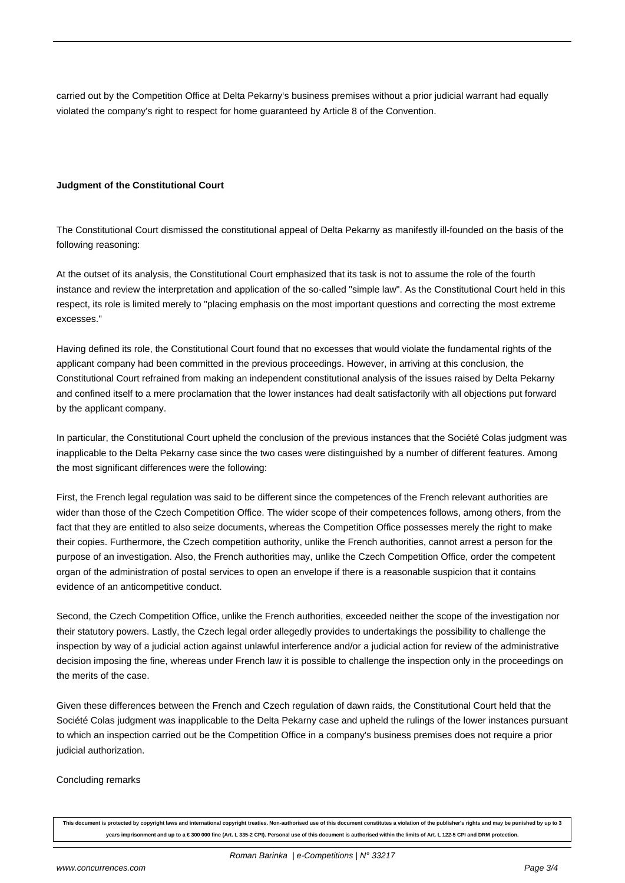carried out by the Competition Office at Delta Pekarny's business premises without a prior judicial warrant had equally violated the company's right to respect for home guaranteed by Article 8 of the Convention.

#### **Judgment of the Constitutional Court**

The Constitutional Court dismissed the constitutional appeal of Delta Pekarny as manifestly ill-founded on the basis of the following reasoning:

At the outset of its analysis, the Constitutional Court emphasized that its task is not to assume the role of the fourth instance and review the interpretation and application of the so-called "simple law". As the Constitutional Court held in this respect, its role is limited merely to "placing emphasis on the most important questions and correcting the most extreme excesses."

Having defined its role, the Constitutional Court found that no excesses that would violate the fundamental rights of the applicant company had been committed in the previous proceedings. However, in arriving at this conclusion, the Constitutional Court refrained from making an independent constitutional analysis of the issues raised by Delta Pekarny and confined itself to a mere proclamation that the lower instances had dealt satisfactorily with all objections put forward by the applicant company.

In particular, the Constitutional Court upheld the conclusion of the previous instances that the Société Colas judgment was inapplicable to the Delta Pekarny case since the two cases were distinguished by a number of different features. Among the most significant differences were the following:

First, the French legal regulation was said to be different since the competences of the French relevant authorities are wider than those of the Czech Competition Office. The wider scope of their competences follows, among others, from the fact that they are entitled to also seize documents, whereas the Competition Office possesses merely the right to make their copies. Furthermore, the Czech competition authority, unlike the French authorities, cannot arrest a person for the purpose of an investigation. Also, the French authorities may, unlike the Czech Competition Office, order the competent organ of the administration of postal services to open an envelope if there is a reasonable suspicion that it contains evidence of an anticompetitive conduct.

Second, the Czech Competition Office, unlike the French authorities, exceeded neither the scope of the investigation nor their statutory powers. Lastly, the Czech legal order allegedly provides to undertakings the possibility to challenge the inspection by way of a judicial action against unlawful interference and/or a judicial action for review of the administrative decision imposing the fine, whereas under French law it is possible to challenge the inspection only in the proceedings on the merits of the case.

Given these differences between the French and Czech regulation of dawn raids, the Constitutional Court held that the Société Colas judgment was inapplicable to the Delta Pekarny case and upheld the rulings of the lower instances pursuant to which an inspection carried out be the Competition Office in a company's business premises does not require a prior judicial authorization.

#### Concluding remarks

**This document is protected by copyright laws and international copyright treaties. Non-authorised use of this document constitutes a violation of the publisher's rights and may be punished by up to 3 years imprisonment and up to a € 300 000 fine (Art. L 335-2 CPI). Personal use of this document is authorised within the limits of Art. L 122-5 CPI and DRM protection.**